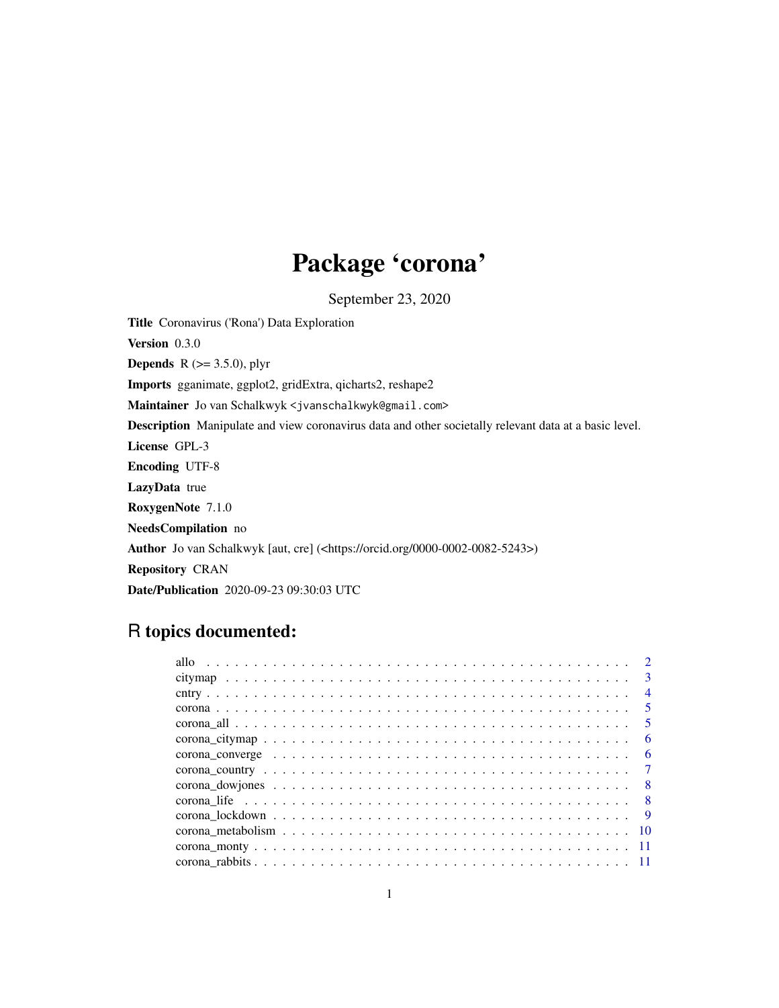## Package 'corona'

September 23, 2020

Title Coronavirus ('Rona') Data Exploration Version 0.3.0 **Depends** R  $(>= 3.5.0)$ , plyr Imports gganimate, ggplot2, gridExtra, qicharts2, reshape2 Maintainer Jo van Schalkwyk <jvanschalkwyk@gmail.com> Description Manipulate and view coronavirus data and other societally relevant data at a basic level. License GPL-3 Encoding UTF-8 LazyData true RoxygenNote 7.1.0 NeedsCompilation no Author Jo van Schalkwyk [aut, cre] (<https://orcid.org/0000-0002-0082-5243>) Repository CRAN Date/Publication 2020-09-23 09:30:03 UTC

## R topics documented:

|                                                                                                              | $\overline{\mathbf{3}}$ |
|--------------------------------------------------------------------------------------------------------------|-------------------------|
|                                                                                                              | $\overline{4}$          |
|                                                                                                              | $\overline{5}$          |
|                                                                                                              | $\sqrt{5}$              |
|                                                                                                              | - 6                     |
| corona_converge $\ldots \ldots \ldots \ldots \ldots \ldots \ldots \ldots \ldots \ldots \ldots \ldots \ldots$ |                         |
|                                                                                                              |                         |
|                                                                                                              |                         |
|                                                                                                              |                         |
|                                                                                                              |                         |
|                                                                                                              |                         |
|                                                                                                              |                         |
|                                                                                                              |                         |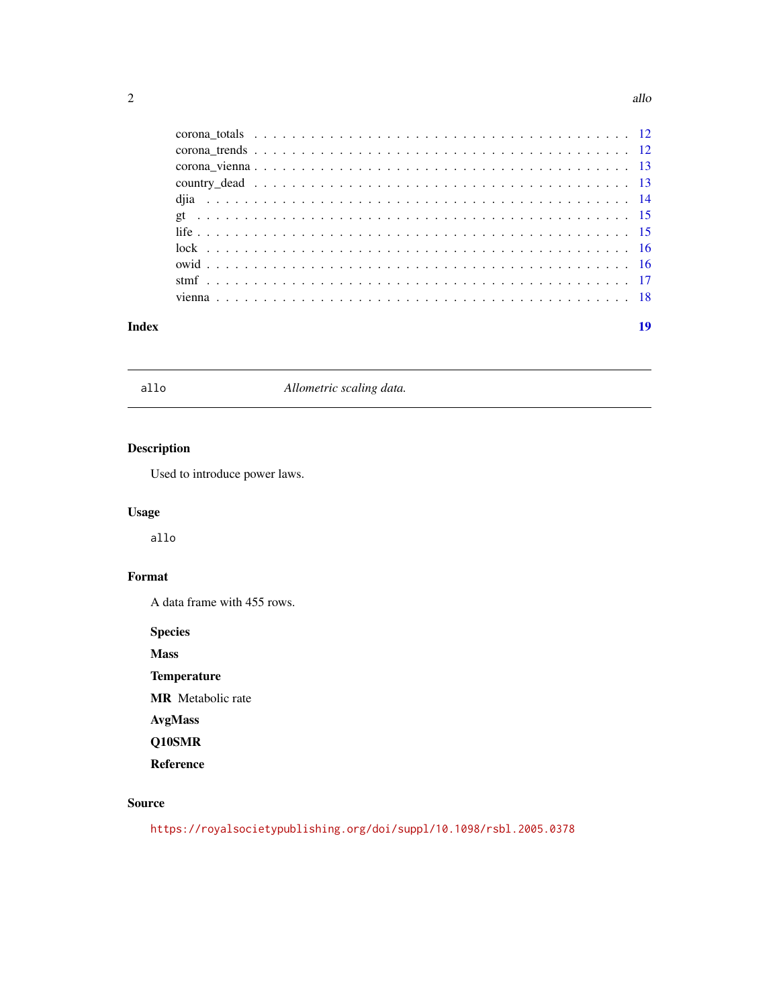<span id="page-1-0"></span>

| Index | 19 |
|-------|----|

allo *Allometric scaling data.*

#### Description

Used to introduce power laws.

#### Usage

allo

#### Format

A data frame with 455 rows.

Species

Mass

**Temperature** 

MR Metabolic rate

AvgMass

Q10SMR

Reference

#### Source

<https://royalsocietypublishing.org/doi/suppl/10.1098/rsbl.2005.0378>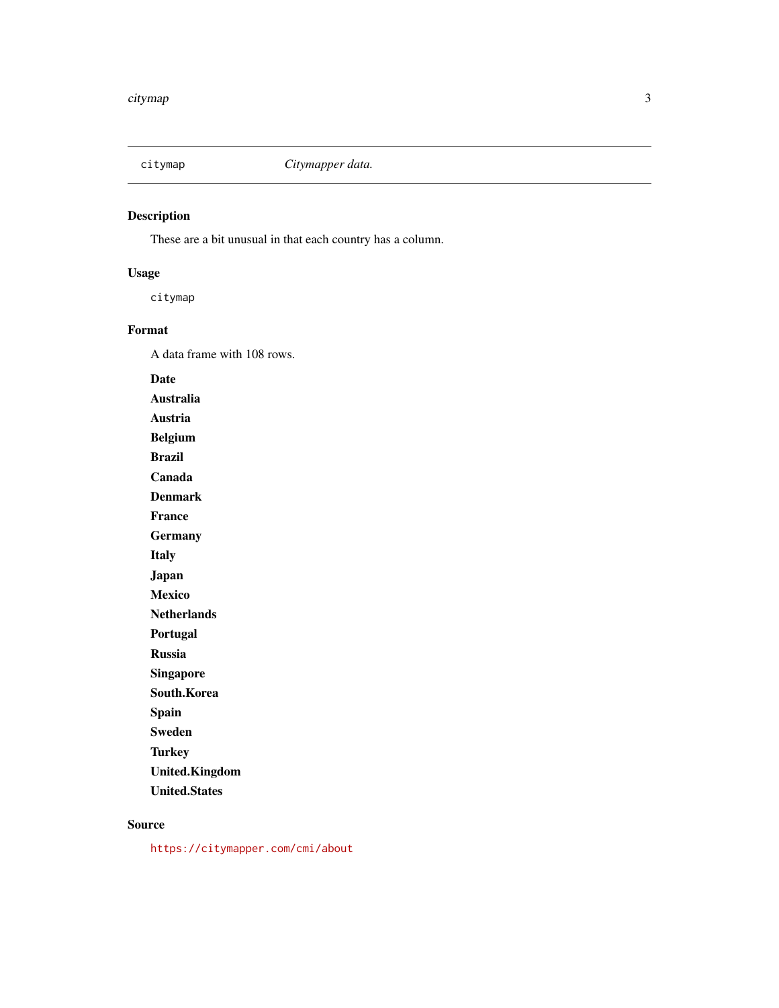<span id="page-2-0"></span>

These are a bit unusual in that each country has a column.

#### Usage

citymap

#### Format

A data frame with 108 rows.

Date

Australia

Austria

Belgium Brazil

Canada

Denmark

France

**Germany** 

Italy

Japan

Mexico

**Netherlands** 

Portugal

Russia

Singapore

South.Korea

Spain

Sweden

**Turkey** 

United.Kingdom

United.States

#### Source

<https://citymapper.com/cmi/about>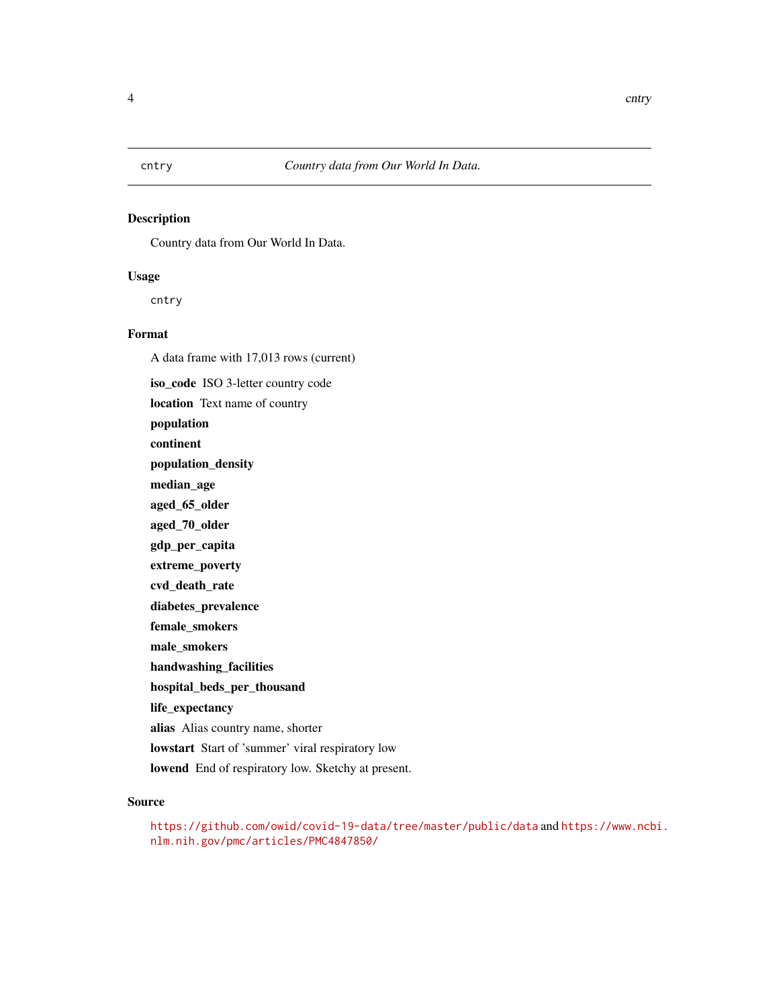<span id="page-3-0"></span>Country data from Our World In Data.

#### Usage

cntry

#### Format

A data frame with 17,013 rows (current)

iso\_code ISO 3-letter country code location Text name of country population continent population\_density median\_age aged\_65\_older aged\_70\_older gdp\_per\_capita extreme\_poverty cvd\_death\_rate diabetes\_prevalence female\_smokers male\_smokers handwashing\_facilities hospital\_beds\_per\_thousand life\_expectancy alias Alias country name, shorter lowstart Start of 'summer' viral respiratory low lowend End of respiratory low. Sketchy at present.

#### Source

<https://github.com/owid/covid-19-data/tree/master/public/data> and [https://www.ncb](https://www.ncbi.nlm.nih.gov/pmc/articles/PMC4847850/)i. [nlm.nih.gov/pmc/articles/PMC4847850/](https://www.ncbi.nlm.nih.gov/pmc/articles/PMC4847850/)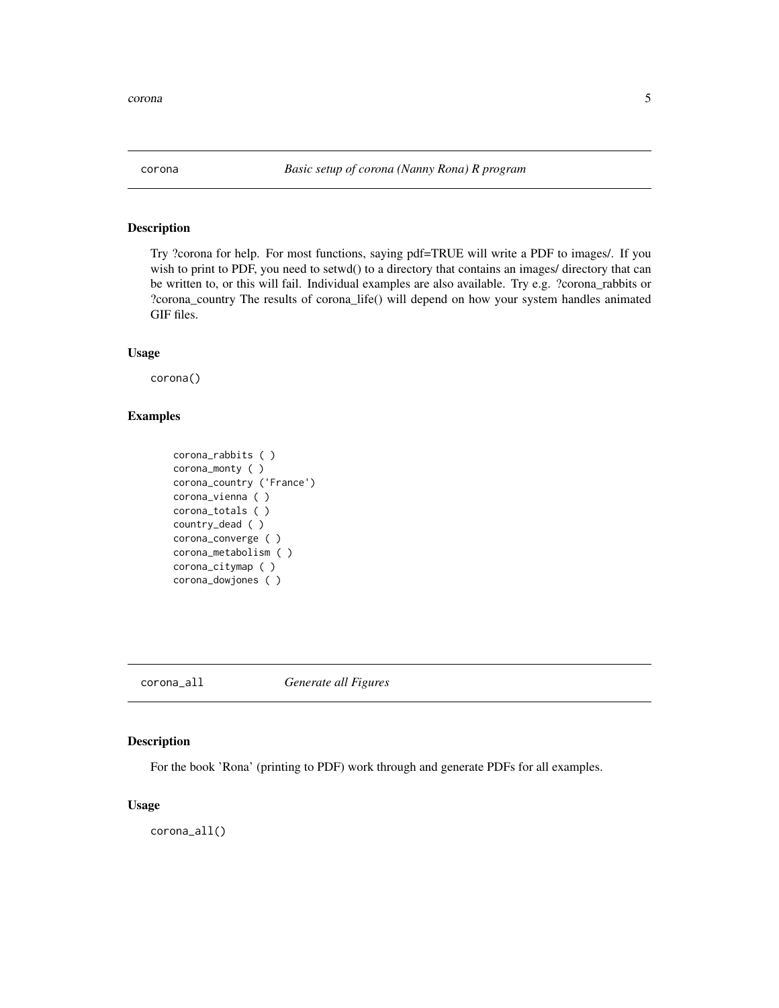<span id="page-4-0"></span>Try ?corona for help. For most functions, saying pdf=TRUE will write a PDF to images/. If you wish to print to PDF, you need to setwd() to a directory that contains an images/ directory that can be written to, or this will fail. Individual examples are also available. Try e.g. ?corona\_rabbits or ?corona\_country The results of corona\_life() will depend on how your system handles animated GIF files.

#### Usage

corona()

#### Examples

```
corona_rabbits ( )
corona_monty ( )
corona_country ('France')
corona_vienna ( )
corona_totals ( )
country_dead ( )
corona_converge ( )
corona_metabolism ( )
corona_citymap ( )
corona_dowjones ( )
```
corona\_all *Generate all Figures*

#### Description

For the book 'Rona' (printing to PDF) work through and generate PDFs for all examples.

#### Usage

corona\_all()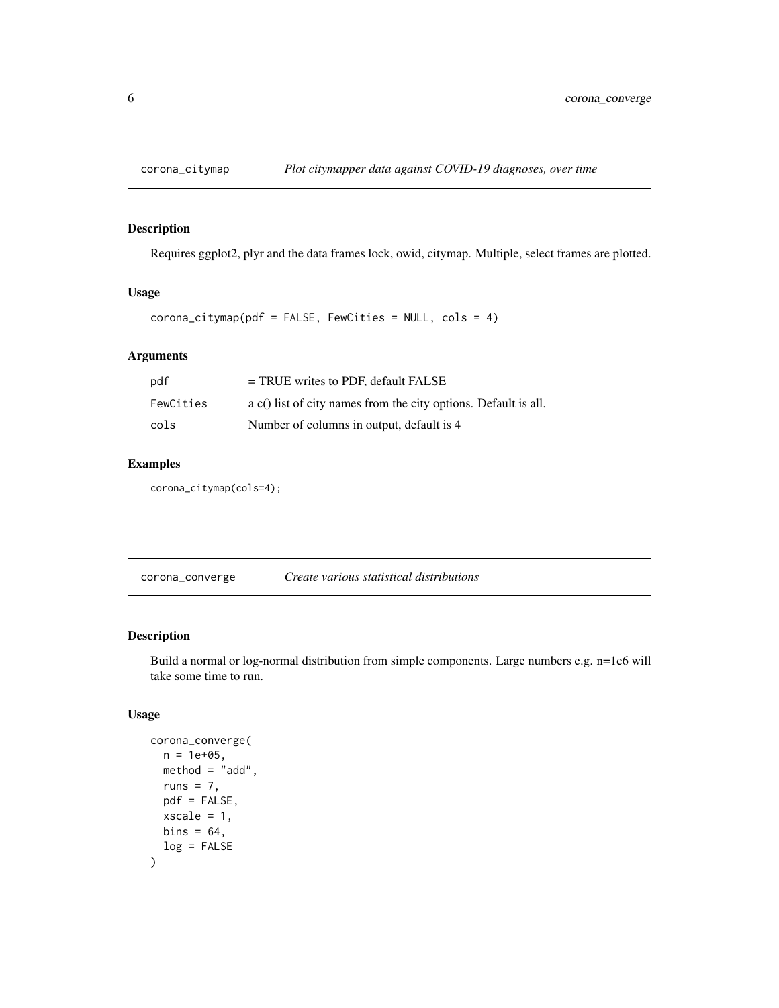<span id="page-5-0"></span>

Requires ggplot2, plyr and the data frames lock, owid, citymap. Multiple, select frames are plotted.

#### Usage

```
corona_citymap(pdf = FALSE, FewCities = NULL, cols = 4)
```
#### Arguments

| pdf       | $=$ TRUE writes to PDF, default FALSE                                  |
|-----------|------------------------------------------------------------------------|
| FewCities | $\alpha$ c() list of city names from the city options. Default is all. |
| cols      | Number of columns in output, default is 4                              |

#### Examples

corona\_citymap(cols=4);

corona\_converge *Create various statistical distributions*

#### Description

Build a normal or log-normal distribution from simple components. Large numbers e.g. n=1e6 will take some time to run.

#### Usage

```
corona_converge(
  n = 1e+05,
  method = "add",
  runs = 7.
  pdf = FALSE,
  xscale = 1,
  bins = 64,
  log = FALSE
\mathcal{E}
```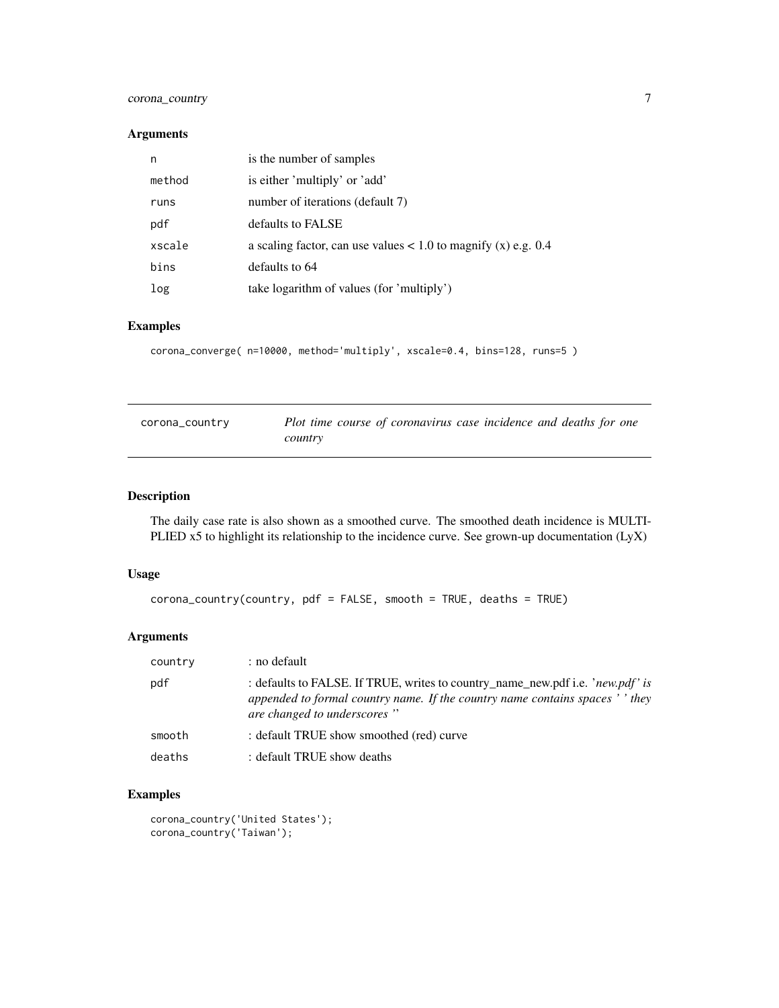#### <span id="page-6-0"></span>corona\_country 7

#### Arguments

| n      | is the number of samples                                         |
|--------|------------------------------------------------------------------|
| method | is either 'multiply' or 'add'                                    |
| runs   | number of iterations (default 7)                                 |
| pdf    | defaults to FALSE                                                |
| xscale | a scaling factor, can use values $< 1.0$ to magnify (x) e.g. 0.4 |
| bins   | defaults to 64                                                   |
| log    | take logarithm of values (for 'multiply')                        |

#### Examples

```
corona_converge( n=10000, method='multiply', xscale=0.4, bins=128, runs=5 )
```

| corona_country | Plot time course of coronavirus case incidence and deaths for one |
|----------------|-------------------------------------------------------------------|
|                | country                                                           |

#### Description

The daily case rate is also shown as a smoothed curve. The smoothed death incidence is MULTI-PLIED x5 to highlight its relationship to the incidence curve. See grown-up documentation (LyX)

#### Usage

```
corona_country(country, pdf = FALSE, smooth = TRUE, deaths = TRUE)
```
#### Arguments

| country | : no default                                                                                                                                                                                   |
|---------|------------------------------------------------------------------------------------------------------------------------------------------------------------------------------------------------|
| pdf     | : defaults to FALSE. If TRUE, writes to country_name_new.pdf i.e. 'new.pdf' is<br>appended to formal country name. If the country name contains spaces ' ' they<br>are changed to underscores" |
| smooth  | : default TRUE show smoothed (red) curve                                                                                                                                                       |
| deaths  | : default TRUE show deaths                                                                                                                                                                     |

#### Examples

```
corona_country('United States');
corona_country('Taiwan');
```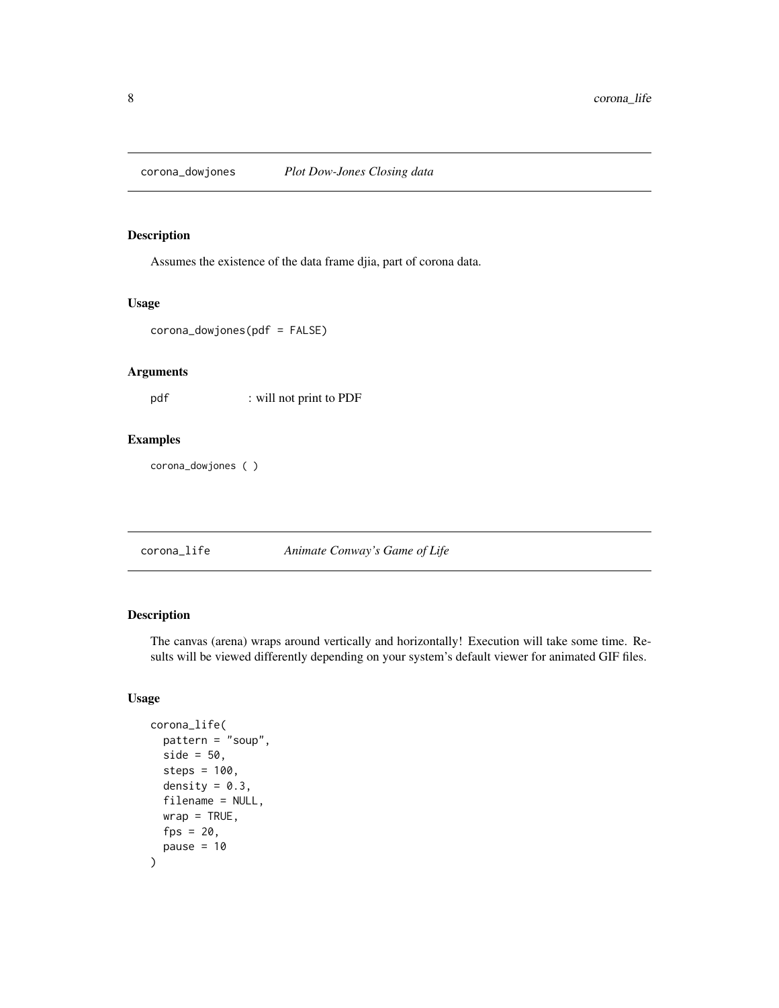<span id="page-7-0"></span>

Assumes the existence of the data frame djia, part of corona data.

#### Usage

corona\_dowjones(pdf = FALSE)

#### Arguments

pdf : will not print to PDF

#### Examples

corona\_dowjones ( )

#### corona\_life *Animate Conway's Game of Life*

#### Description

The canvas (arena) wraps around vertically and horizontally! Execution will take some time. Results will be viewed differently depending on your system's default viewer for animated GIF files.

#### Usage

```
corona_life(
  pattern = "soup",
  side = 50,
  steps = 100,
  density = 0.3,
  filename = NULL,
  wrap = TRUE,fps = 20,pause = 10\mathcal{E}
```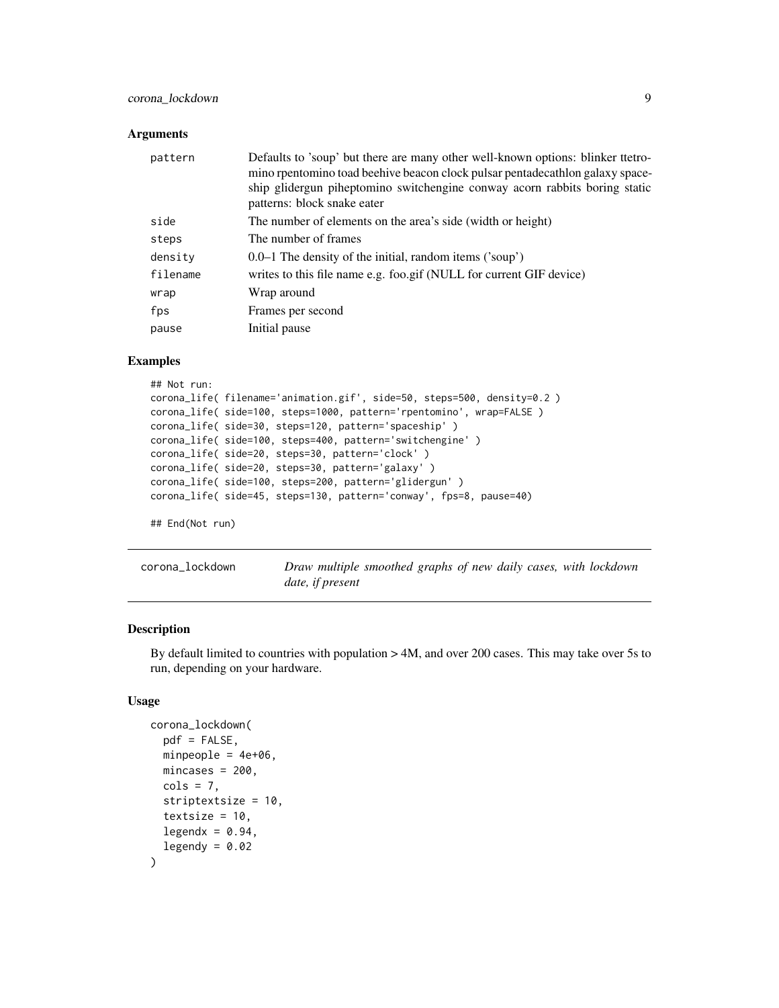#### <span id="page-8-0"></span>corona\_lockdown 9

#### **Arguments**

| pattern  | Defaults to 'soup' but there are many other well-known options: blinker ttetro-<br>mino rpentomino toad beehive beacon clock pulsar pentadecathlon galaxy space-<br>ship glidergun piheptomino switchengine conway acorn rabbits boring static<br>patterns: block snake eater |
|----------|-------------------------------------------------------------------------------------------------------------------------------------------------------------------------------------------------------------------------------------------------------------------------------|
| side     | The number of elements on the area's side (width or height)                                                                                                                                                                                                                   |
| steps    | The number of frames                                                                                                                                                                                                                                                          |
| density  | $0.0-1$ The density of the initial, random items ('soup')                                                                                                                                                                                                                     |
| filename | writes to this file name e.g. foo.gif (NULL for current GIF device)                                                                                                                                                                                                           |
| wrap     | Wrap around                                                                                                                                                                                                                                                                   |
| fps      | Frames per second                                                                                                                                                                                                                                                             |
| pause    | Initial pause                                                                                                                                                                                                                                                                 |

#### Examples

```
## Not run:
corona_life( filename='animation.gif', side=50, steps=500, density=0.2 )
corona_life( side=100, steps=1000, pattern='rpentomino', wrap=FALSE )
corona_life( side=30, steps=120, pattern='spaceship' )
corona_life( side=100, steps=400, pattern='switchengine' )
corona_life( side=20, steps=30, pattern='clock' )
corona_life( side=20, steps=30, pattern='galaxy' )
corona_life( side=100, steps=200, pattern='glidergun' )
corona_life( side=45, steps=130, pattern='conway', fps=8, pause=40)
## End(Not run)
```
corona\_lockdown *Draw multiple smoothed graphs of new daily cases, with lockdown date, if present*

#### Description

By default limited to countries with population > 4M, and over 200 cases. This may take over 5s to run, depending on your hardware.

#### Usage

```
corona_lockdown(
  pdf = FALSE,minpeople = 4e+06,
  mincases = 200,
  \text{cols} = 7.
  striptextsize = 10,
  textsize = 10,
  legendx = 0.94,
  legendy = 0.02)
```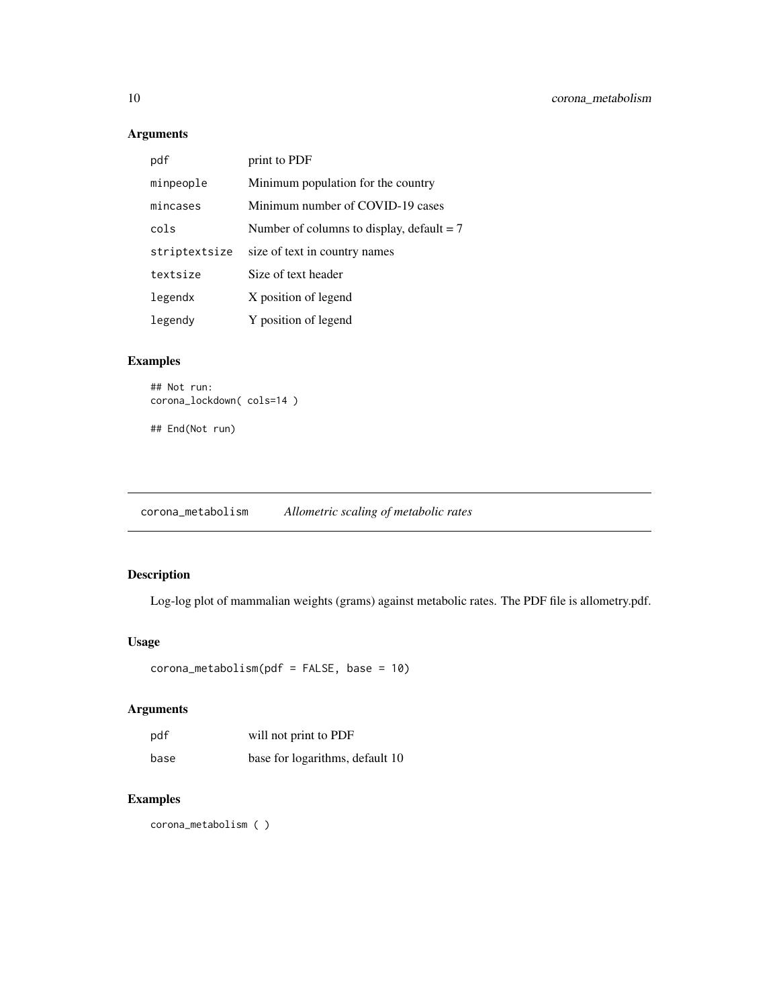#### Arguments

| pdf           | print to PDF                                |
|---------------|---------------------------------------------|
| minpeople     | Minimum population for the country          |
| mincases      | Minimum number of COVID-19 cases            |
| cols          | Number of columns to display, default $= 7$ |
| striptextsize | size of text in country names               |
| textsize      | Size of text header                         |
| legendx       | X position of legend                        |
| legendy       | Y position of legend                        |

#### Examples

```
## Not run:
corona_lockdown( cols=14 )
```
## End(Not run)

corona\_metabolism *Allometric scaling of metabolic rates*

#### Description

Log-log plot of mammalian weights (grams) against metabolic rates. The PDF file is allometry.pdf.

#### Usage

```
corona_metabolism(pdf = FALSE, base = 10)
```
### Arguments

| pdf  | will not print to PDF           |
|------|---------------------------------|
| base | base for logarithms, default 10 |

### Examples

corona\_metabolism ( )

<span id="page-9-0"></span>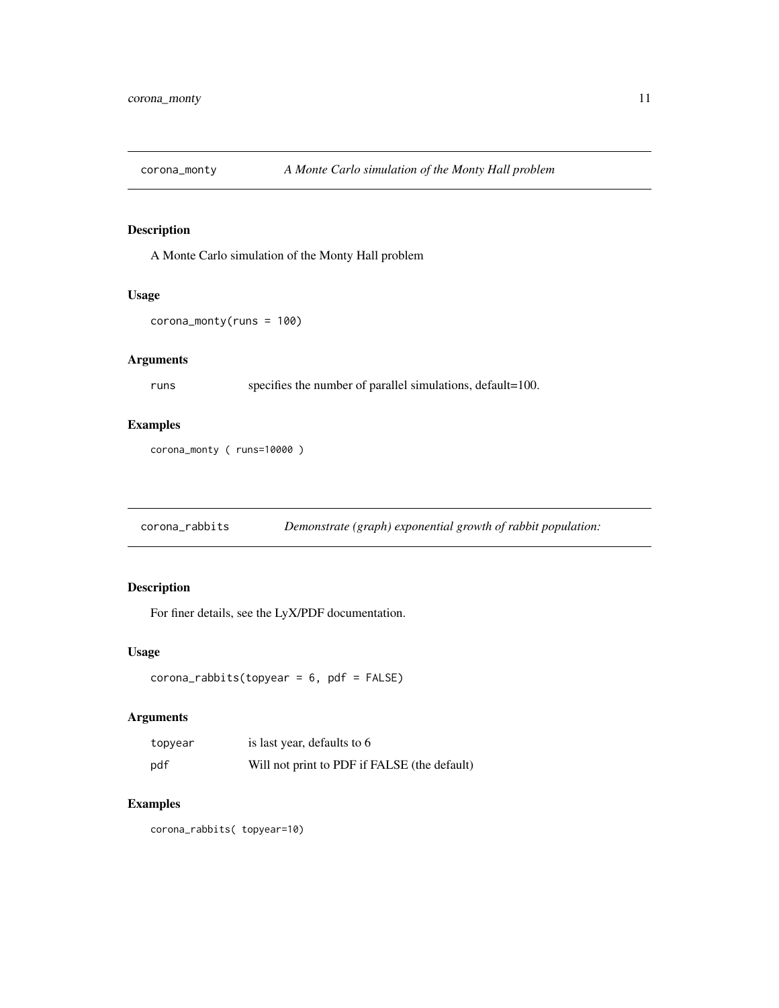<span id="page-10-0"></span>

A Monte Carlo simulation of the Monty Hall problem

#### Usage

```
corona_monty(runs = 100)
```
#### Arguments

runs specifies the number of parallel simulations, default=100.

#### Examples

```
corona_monty ( runs=10000 )
```
corona\_rabbits *Demonstrate (graph) exponential growth of rabbit population:*

#### Description

For finer details, see the LyX/PDF documentation.

#### Usage

```
corona_rabbits(topyear = 6, pdf = FALSE)
```
#### Arguments

| topyear | is last year, defaults to 6                  |
|---------|----------------------------------------------|
| pdf     | Will not print to PDF if FALSE (the default) |

#### Examples

corona\_rabbits( topyear=10)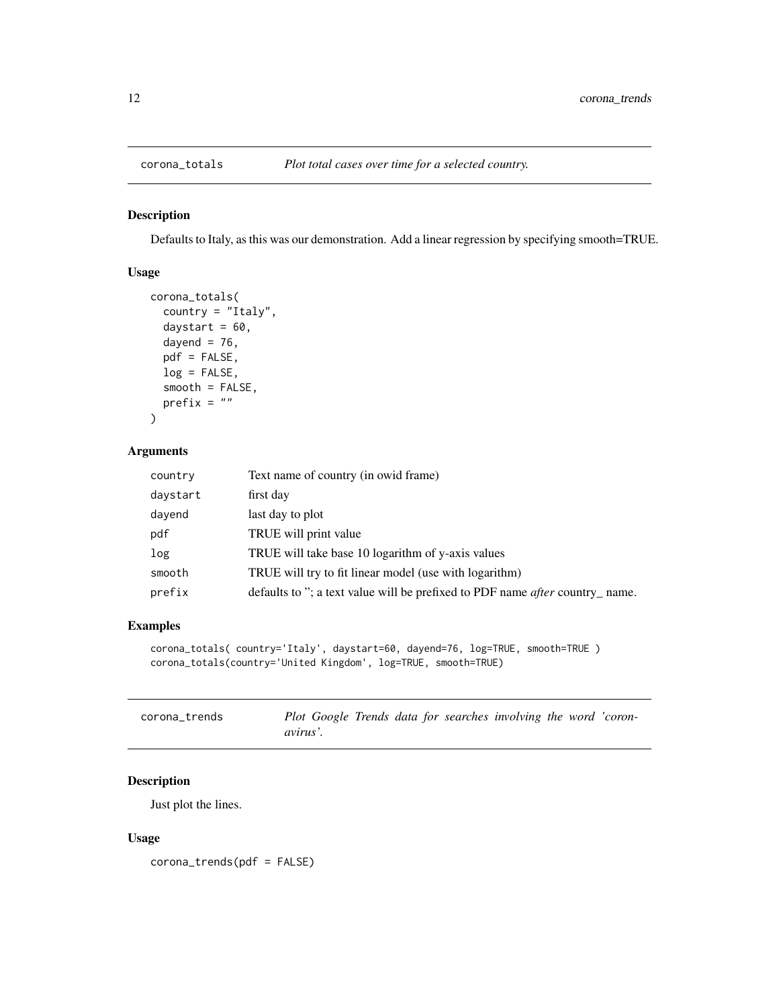<span id="page-11-0"></span>

Defaults to Italy, as this was our demonstration. Add a linear regression by specifying smooth=TRUE.

#### Usage

```
corona_totals(
  country = "Italy",
  daystart = 60,
  dayend = 76,
 pdf = FALSE,
  log = FALSE,smooth = FALSE,
 prefix = "")
```
#### Arguments

| country  | Text name of country (in owid frame)                                                |
|----------|-------------------------------------------------------------------------------------|
| daystart | first day                                                                           |
| dayend   | last day to plot                                                                    |
| pdf      | TRUE will print value                                                               |
| log      | TRUE will take base 10 logarithm of y-axis values                                   |
| smooth   | TRUE will try to fit linear model (use with logarithm)                              |
| prefix   | defaults to "; a text value will be prefixed to PDF name <i>after</i> country_name. |
|          |                                                                                     |

#### Examples

```
corona_totals( country='Italy', daystart=60, dayend=76, log=TRUE, smooth=TRUE )
corona_totals(country='United Kingdom', log=TRUE, smooth=TRUE)
```

| corona trends | Plot Google Trends data for searches involving the word 'coron- |  |
|---------------|-----------------------------------------------------------------|--|
|               | <i>avirus'.</i>                                                 |  |

#### Description

Just plot the lines.

#### Usage

corona\_trends(pdf = FALSE)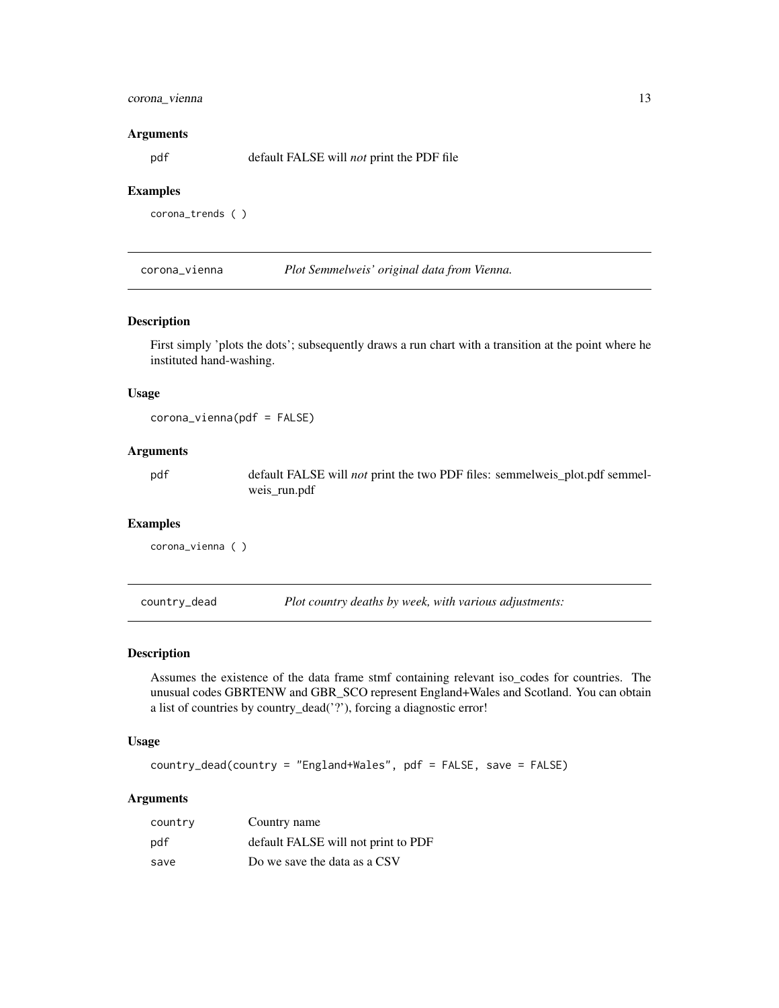#### <span id="page-12-0"></span>corona\_vienna 13

#### Arguments

pdf default FALSE will *not* print the PDF file

#### Examples

corona\_trends ( )

corona\_vienna *Plot Semmelweis' original data from Vienna.*

#### Description

First simply 'plots the dots'; subsequently draws a run chart with a transition at the point where he instituted hand-washing.

#### Usage

corona\_vienna(pdf = FALSE)

#### Arguments

pdf default FALSE will *not* print the two PDF files: semmelweis\_plot.pdf semmelweis\_run.pdf

#### Examples

corona\_vienna ( )

country\_dead *Plot country deaths by week, with various adjustments:*

#### Description

Assumes the existence of the data frame stmf containing relevant iso\_codes for countries. The unusual codes GBRTENW and GBR\_SCO represent England+Wales and Scotland. You can obtain a list of countries by country\_dead('?'), forcing a diagnostic error!

#### Usage

country\_dead(country = "England+Wales", pdf = FALSE, save = FALSE)

#### Arguments

| country | Country name                        |
|---------|-------------------------------------|
| pdf     | default FALSE will not print to PDF |
| save    | Do we save the data as a CSV        |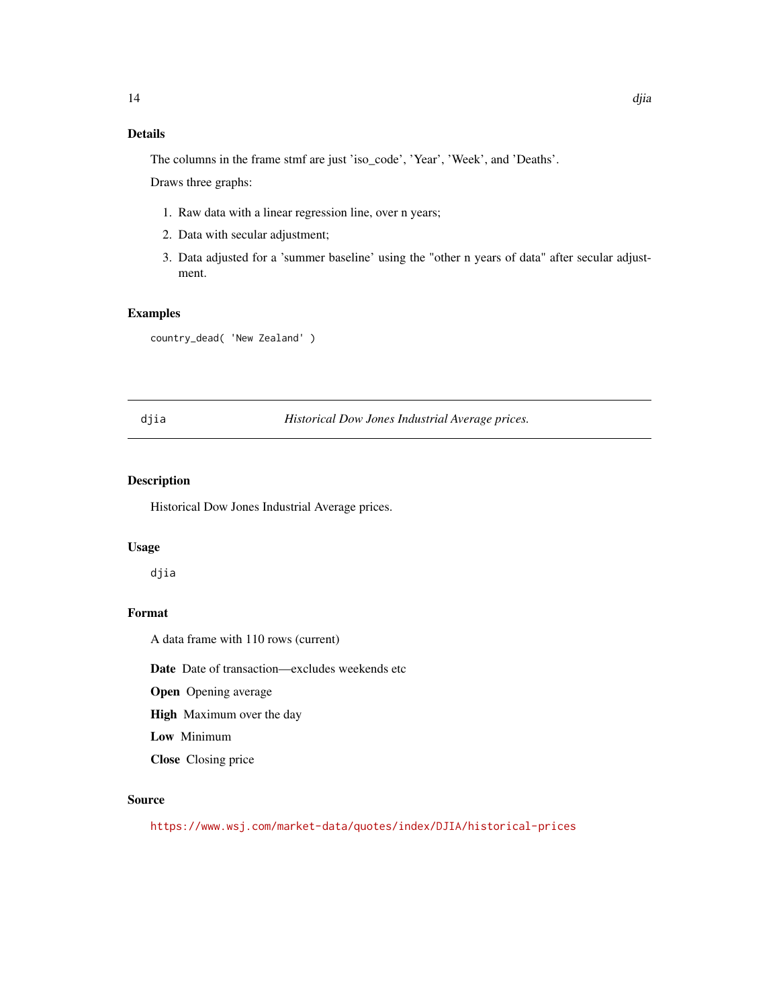#### <span id="page-13-0"></span>Details

The columns in the frame stmf are just 'iso\_code', 'Year', 'Week', and 'Deaths'. Draws three graphs:

- 1. Raw data with a linear regression line, over n years;
- 2. Data with secular adjustment;
- 3. Data adjusted for a 'summer baseline' using the "other n years of data" after secular adjustment.

#### Examples

country\_dead( 'New Zealand' )

#### djia *Historical Dow Jones Industrial Average prices.*

#### Description

Historical Dow Jones Industrial Average prices.

#### Usage

djia

#### Format

A data frame with 110 rows (current)

Date Date of transaction—excludes weekends etc

Open Opening average

High Maximum over the day

Low Minimum

Close Closing price

#### Source

<https://www.wsj.com/market-data/quotes/index/DJIA/historical-prices>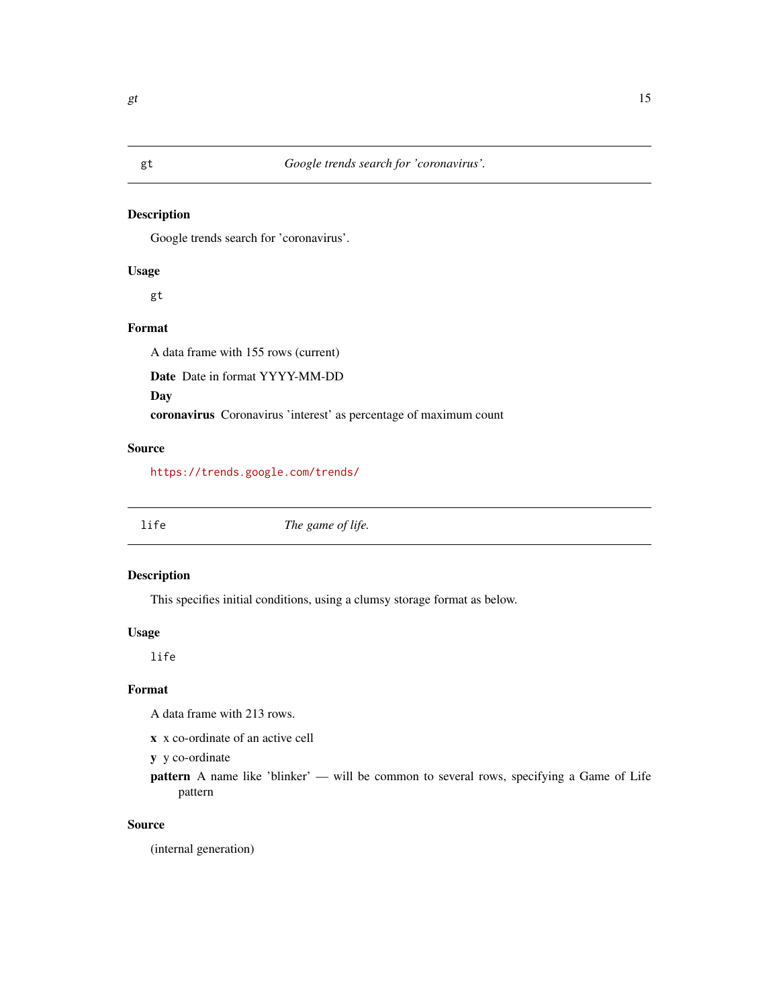<span id="page-14-0"></span>

Google trends search for 'coronavirus'.

#### Usage

gt

#### Format

A data frame with 155 rows (current)

Date Date in format YYYY-MM-DD

Day

coronavirus Coronavirus 'interest' as percentage of maximum count

#### Source

<https://trends.google.com/trends/>

life *The game of life.*

#### Description

This specifies initial conditions, using a clumsy storage format as below.

#### Usage

life

#### Format

A data frame with 213 rows.

x x co-ordinate of an active cell

y y co-ordinate

pattern A name like 'blinker' — will be common to several rows, specifying a Game of Life pattern

#### Source

(internal generation)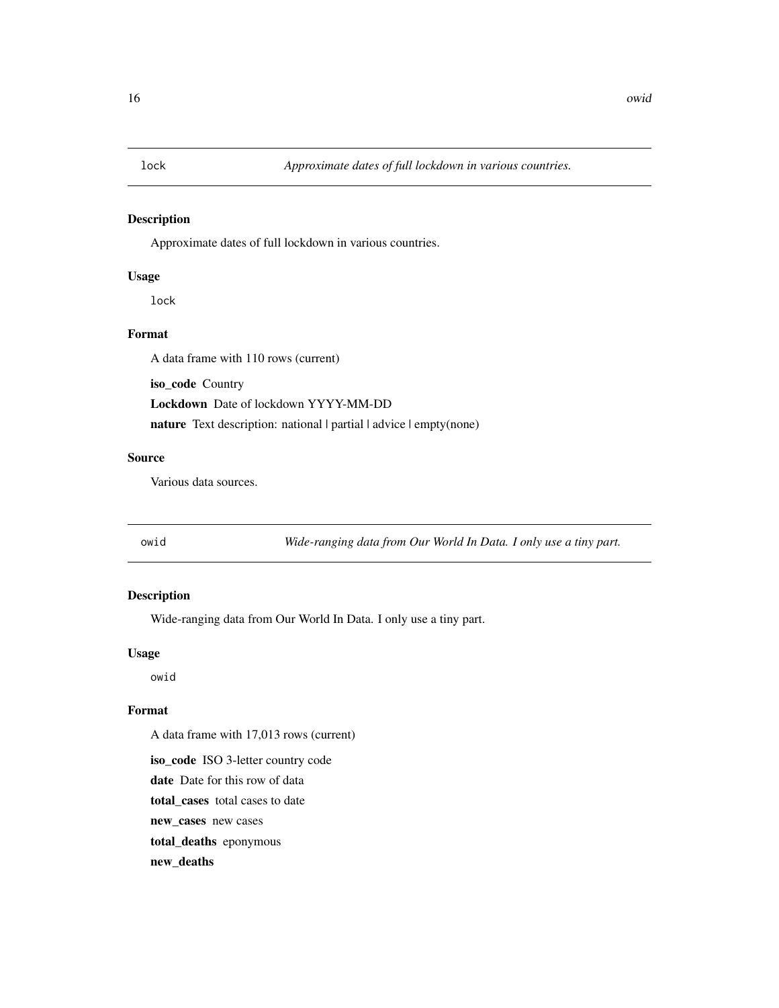<span id="page-15-0"></span>

Approximate dates of full lockdown in various countries.

#### Usage

lock

#### Format

A data frame with 110 rows (current)

iso\_code Country

Lockdown Date of lockdown YYYY-MM-DD

nature Text description: national | partial | advice | empty(none)

#### Source

Various data sources.

owid *Wide-ranging data from Our World In Data. I only use a tiny part.*

#### Description

Wide-ranging data from Our World In Data. I only use a tiny part.

#### Usage

owid

#### Format

A data frame with 17,013 rows (current)

iso\_code ISO 3-letter country code

date Date for this row of data

total\_cases total cases to date

new\_cases new cases

total\_deaths eponymous

new\_deaths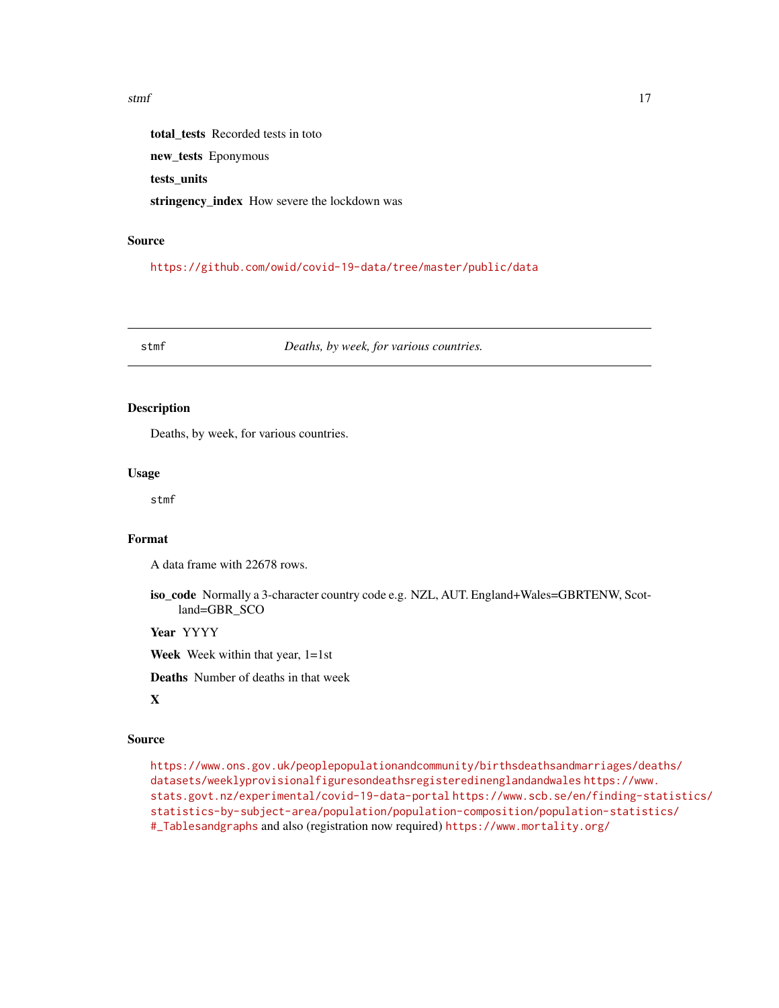#### <span id="page-16-0"></span>stmf and the state of  $\frac{17}{2}$

total\_tests Recorded tests in toto new\_tests Eponymous tests\_units stringency\_index How severe the lockdown was

#### Source

<https://github.com/owid/covid-19-data/tree/master/public/data>

stmf *Deaths, by week, for various countries.*

#### Description

Deaths, by week, for various countries.

#### Usage

stmf

#### Format

A data frame with 22678 rows.

iso\_code Normally a 3-character country code e.g. NZL, AUT. England+Wales=GBRTENW, Scotland=GBR\_SCO

Year YYYY

Week Week within that year, 1=1st

Deaths Number of deaths in that week

### X

#### Source

[https://www.ons.gov.uk/peoplepopulationandcommunity/birthsdeathsandmarriages/dea](https://www.ons.gov.uk/peoplepopulationandcommunity/birthsdeathsandmarriages/deaths/datasets/weeklyprovisionalfiguresondeathsregisteredinenglandandwales)ths/ [datasets/weeklyprovisionalfiguresondeathsregisteredinenglandandwales](https://www.ons.gov.uk/peoplepopulationandcommunity/birthsdeathsandmarriages/deaths/datasets/weeklyprovisionalfiguresondeathsregisteredinenglandandwales) [https://www](https://www.stats.govt.nz/experimental/covid-19-data-portal). [stats.govt.nz/experimental/covid-19-data-portal](https://www.stats.govt.nz/experimental/covid-19-data-portal) [https://www.scb.se/en/finding-st](https://www.scb.se/en/finding-statistics/statistics-by-subject-area/population/population-composition/population-statistics/#_Tablesandgraphs)atistics/ [statistics-by-subject-area/population/population-composition/population-statist](https://www.scb.se/en/finding-statistics/statistics-by-subject-area/population/population-composition/population-statistics/#_Tablesandgraphs)ics/ [#\\_Tablesandgraphs](https://www.scb.se/en/finding-statistics/statistics-by-subject-area/population/population-composition/population-statistics/#_Tablesandgraphs) and also (registration now required) <https://www.mortality.org/>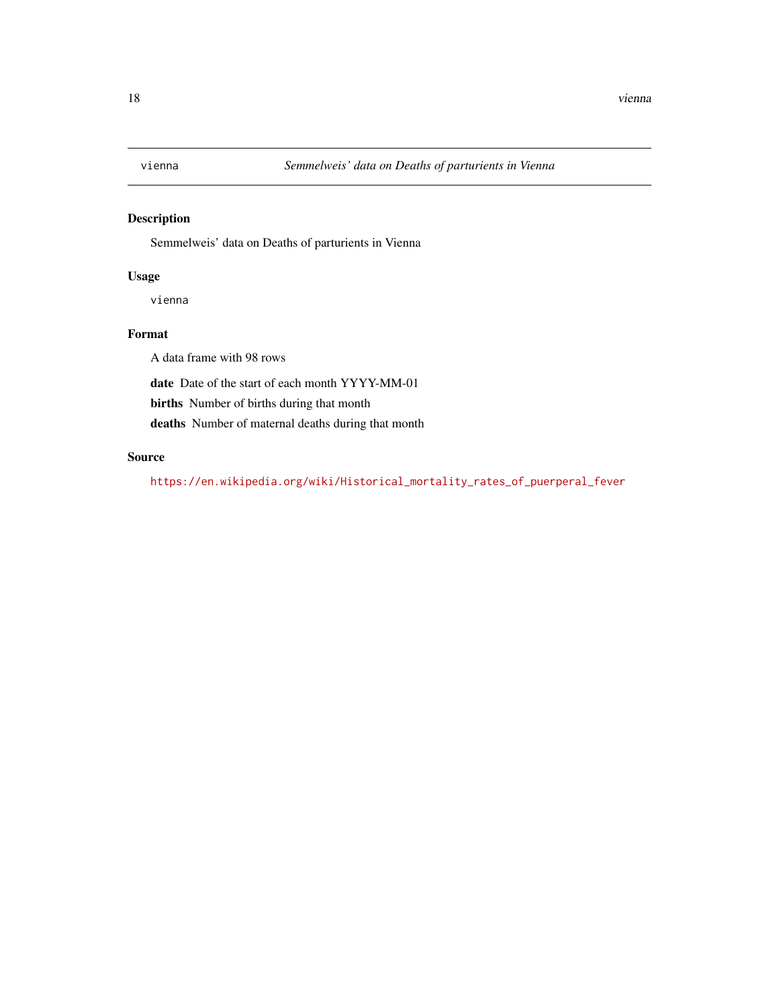<span id="page-17-0"></span>

Semmelweis' data on Deaths of parturients in Vienna

#### Usage

vienna

#### Format

A data frame with 98 rows

date Date of the start of each month YYYY-MM-01

births Number of births during that month

deaths Number of maternal deaths during that month

#### Source

[https://en.wikipedia.org/wiki/Historical\\_mortality\\_rates\\_of\\_puerperal\\_fever](https://en.wikipedia.org/wiki/Historical_mortality_rates_of_puerperal_fever)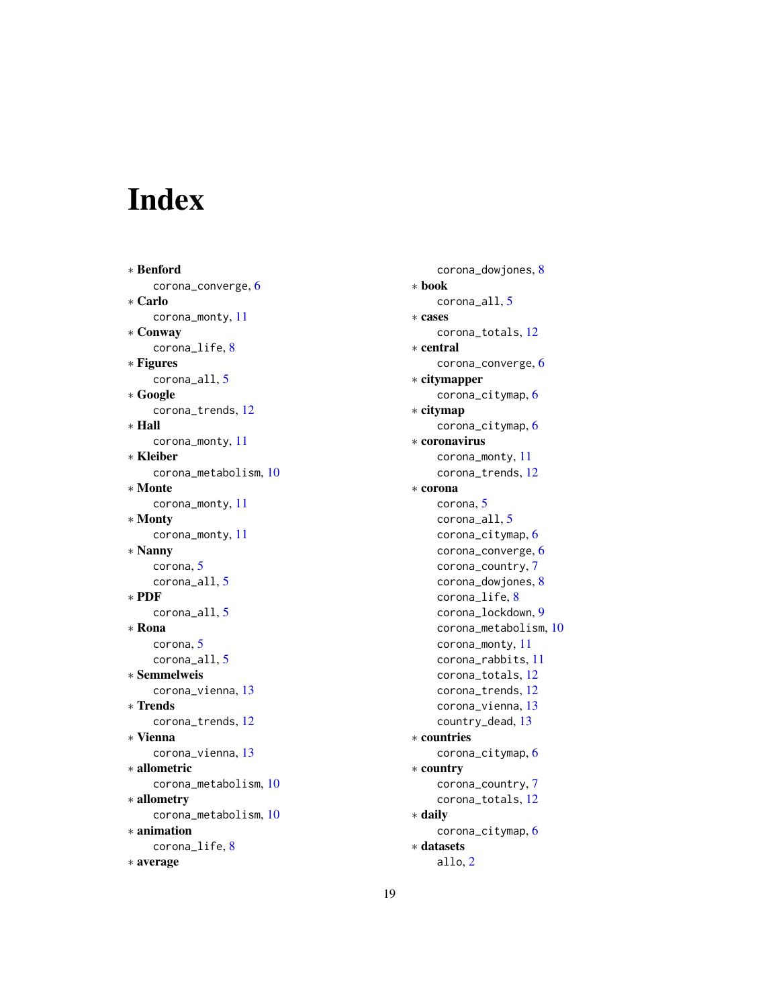# <span id="page-18-0"></span>Index

∗ Benford corona\_converge, [6](#page-5-0) ∗ Carlo corona\_monty, [11](#page-10-0) ∗ Conway corona\_life, [8](#page-7-0) ∗ Figures corona\_all, [5](#page-4-0) ∗ Google corona\_trends, [12](#page-11-0) ∗ Hall corona\_monty, [11](#page-10-0) ∗ Kleiber corona\_metabolism, [10](#page-9-0) ∗ Monte corona\_monty, [11](#page-10-0) ∗ Monty corona\_monty, [11](#page-10-0) ∗ Nanny corona, [5](#page-4-0) corona\_all, [5](#page-4-0) ∗ PDF corona\_all, [5](#page-4-0) ∗ Rona corona, [5](#page-4-0) corona\_all, [5](#page-4-0) ∗ Semmelweis corona\_vienna, [13](#page-12-0) ∗ Trends corona\_trends, [12](#page-11-0) ∗ Vienna corona\_vienna, [13](#page-12-0) ∗ allometric corona\_metabolism, [10](#page-9-0) ∗ allometry corona\_metabolism, [10](#page-9-0) ∗ animation corona\_life, [8](#page-7-0) ∗ average

corona\_dowjones, [8](#page-7-0) ∗ book corona\_all, [5](#page-4-0) ∗ cases corona\_totals, [12](#page-11-0) ∗ central corona\_converge, [6](#page-5-0) ∗ citymapper corona\_citymap, [6](#page-5-0) ∗ citymap corona\_citymap, [6](#page-5-0) ∗ coronavirus corona\_monty, [11](#page-10-0) corona\_trends, [12](#page-11-0) ∗ corona corona, [5](#page-4-0) corona\_all, [5](#page-4-0) corona\_citymap, [6](#page-5-0) corona\_converge, [6](#page-5-0) corona\_country, [7](#page-6-0) corona\_dowjones, [8](#page-7-0) corona\_life, [8](#page-7-0) corona\_lockdown, [9](#page-8-0) corona\_metabolism, [10](#page-9-0) corona\_monty, [11](#page-10-0) corona\_rabbits, [11](#page-10-0) corona\_totals, [12](#page-11-0) corona\_trends, [12](#page-11-0) corona\_vienna, [13](#page-12-0) country\_dead, [13](#page-12-0) ∗ countries corona\_citymap, [6](#page-5-0) ∗ country corona\_country, [7](#page-6-0) corona\_totals, [12](#page-11-0) ∗ daily corona\_citymap, [6](#page-5-0) ∗ datasets allo, [2](#page-1-0)